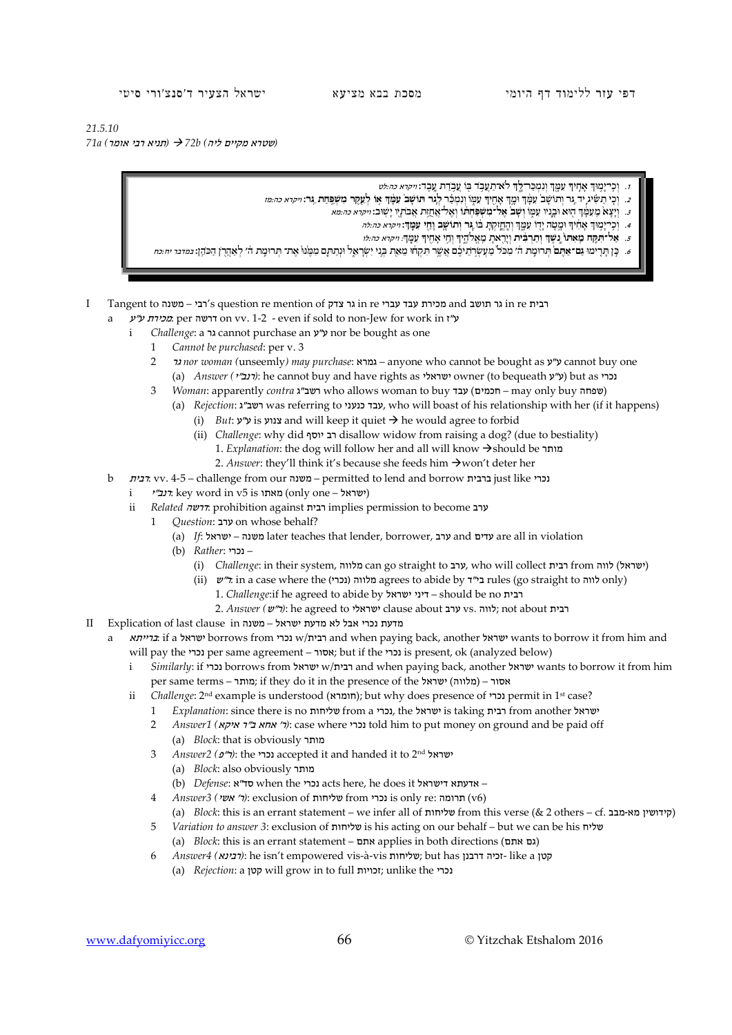דפי עזר ללימוד דף היומי מסכת בבא מציעא ישראל הצעיר ד'סנצ'ורי סיטי

*21.5.10*

*(*שטרא מקיים ליה*) b72 )* תניא רבי אומר*) a71*

- **<sup>ך</sup>** לֹא־תַ עֲ בֹ֥ ד בּ֖ וֹ עֲ בֹ֥ דַ ת עָֽ בֶ ד: ויקרא כה:לט **ְ** <sup>ך</sup> ּ וְנִמְ כַ ר־**לָ ֑** ְ יך ּעִ מָ ֖ ָ ּוך אָ חִ֛ ְ .1 וְ כִֽ י־יָמ֥
- 2. וְכִי תַשִּׂיג יִד גַּר וְתוֹשָׁב עֲמֵךְ וּמֵךְ אֲחֵיךְ עָמִוֹ וְנִמְכָּר לֵגֶר תּוֹשָׁב עָמַךְ אוֹ לְעָקֶר מְשִׁפַּחַת גַּר: *ויקרא כה:מז* 
	- <sup>ך</sup> ה֖ ּוא וּבָ נָ֣ יו ּעִ מ֑ וֹ **וְ שָׁ ב֙ ּ אֶ ל־מִ שְׁ פ ּ ַחְ ת֔ וֹ** וְאֶ ל־אֲ חֻזַ ֥ ּת אֲבֹתָ ֖ יו ּ יָשֽׁ וב: ויקרא כה:מא ְ .3 וְיָצָ א֙ ֵמ ּ ֽ עִ מָ֔
		- **עִ מָּֽ ך**: ויקרא כה:לה **ְ** <sup>ך</sup> וְהֶֽ חֱזַ֣ ּקְ תָ בּ֔ וֹ **ֵ ּג֧ ר וְתוֹ שָׁ ֛ב וָחַ ֖ י** ְ יך ּומָ ֥ טָ ה יָד֖ וֹ ּעִ מָ ֑ ָ ּוך אָ חִ֔ ְ .4 וְ כִֽ י־יָמ֣
		- ָיך ֵוְ ח֥ י אָ חִ ֖ ָ **שֶׁ ך וְתַ רְ בִּ֔ ית** ֵ וְיָר֖ אתָ ֵמ ֽ אֱלֹהֶ ֑ **ְ** .5 **ּ אַ ל־תִ קַּ֤ ח ֵמ ּ ֽ אִ תוֹ֙ נֶ֣**  ּעִ מָֽ ך: ויקרא כה:לו ְ יך
- e. כֵן תרימו גם־אתם תרומת ה׳ מכל מעשרתיכם אשר תקחו מאת בני ישראל ונתתם ממנו את־תרומת ה׳ לאהרן הכהן: נמדני יה מ
- I Tangent to משנה רבי's question re mention of צדק גר in re עברי עבד מכירת and תושב גר in re רבית
	- a *ע"ז on vv.* 1-2 even if sold to non-Jew for work in  $'$ ע a
		- i *Challenge*: a גר cannot purchase an ע"ע nor be bought as one
			- 1 *Cannot be purchased*: per v. 3
			- 2 גר *nor woman (*unseemly*) may purchase*: גמרא anyone who cannot be bought as ע"ע cannot buy one (a) *Answer (ינב״י*): he cannot buy and have rights as ישראלי owner (to bequeath (י"ע) but as יכרי
			- 3 *Woman*: apparently *contra* ועב"ג who allows woman to buy ושפחה may only buy שפחה (a) *Rejection*: ג"רשב was referring to כנעני עבד, who will boast of his relationship with her (if it happens)
				- (i) *But*: ע"ע is צנוע and will keep it quiet he would agree to forbid
				- (ii) *Challenge*: why did יוסף רב disallow widow from raising a dog? (due to bestiality) 1. *Explanation*: the dog will follow her and all will know → should be מותר
					- 2. *Answer*: they'll think it's because she feeds him  $\rightarrow$  won't deter her
	- b רבית: vv. 4-5 challenge from our משנה permitted to lend and borrow ברבית just like נכרי
		- i ישראל  $\text{key word}$  an v5 is מאתו) (only one ישראל)
		- ii *Related* דרשה: prohibition against רבית implies permission to become ערב
			- 1 *Question*: ערב on whose behalf?
				- (a) *If*: ישראל משנה later teaches that lender, borrower, ערב and עדים are all in violation
				- (b) *Rather*: נכרי–
					- (i) *Challenge*: in their system, מעלות can go straight to ערב, who will collect רבית) *(i*
					- (ii)  $\psi$ ד: in a case where the (נכרי agrees to abide by בי"ד rules (go straight to לווה only)
						- 1. *Challenge*:if he agreed to abide by ישראל דיני should be no רבית
					- 2. *Answer (*ש"ר*(*: he agreed to ישראלי clause about ערב vs. לווה ;not about רבית
- מדעת נכרי אבל לא מדעת ישראל משנה in clause in clause in in clause in in Explication of last clause
	- ברייתא: if a ישראל borrows from נבית wants to borrow it from him and will pay the נכרי per same agreement – אסור; but if the נכרי is present, ok (analyzed below)
		- i *Similarly*: if tom borrows from ובית w/w ישראל and when paying back, another *י*שראל wants to borrow it from him per same terms – מותר ;if they do it in the presence of the ישראל) מלווה – (אסור
		- ii *Challenge*: 2<sup>nd</sup> example is understood (חומרא); but why does presence of נ**כרי** permit in 1st case?
			- 1 *Explanation*: since there is no שליחות from a נכרי, the ישראל is taking רבית from another ישראל
			- 2 *Answer1 (אחא ב״ר איקא)*: case where נכרי told him to put money on ground and be paid off
				- (a) *Block*: that is obviously מותר
			- 3 *Answer2 (*פ"ר*(*: the נכרי accepted it and handed it to 2nd ישראל (a) *Block*: also obviously מותר
				- (b) *Defense*: א"סד when the נכרי acts here, he does it דישראל אדעתא–
			- 4 *Answer3 (*אשי' ר*(*: exclusion of שליחות from נכרי is only re: תרומה) v6)
			- (a) *Block*: this is an errant statement we infer all of שליחות from this verse (& 2 others cf. מבב-מא קידושין(
			- 5 *Variation to answer 3*: exclusion of שליחות is his acting on our behalf but we can be his שליח (a) *Block*: this is an errant statement – אתם applies in both directions (אתם גם(
			- 6 *Answer4 (*רבינא*(*: he isn't empowered vis-à-vis שליחות ;but has דרבנן זכיה- like a קטן
				- (a) *Rejection*: a קטן will grow in to full זכויות ;unlike the נכרי